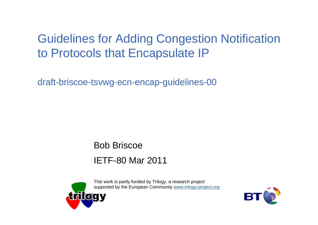## Guidelines for Adding Congestion Notification to Protocols that Encapsulate IP

draft-briscoe-tsvwg-ecn-encap-guidelines-00

Bob BriscoeIETF-80 Mar 2011



This work is partly funded by Trilogy, a research project supported by the European Community www.trilogy-project.org

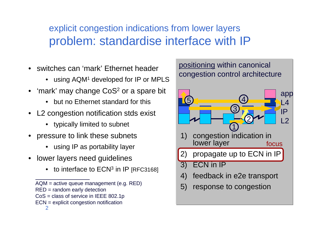### explicit congestion indications from lower layersproblem: standardise interface with IP

- switches can 'mark' Ethernet header
	- $\bullet$   $\,$  using AQM1 developed for IP or MPLS  $\,$
- $\bullet \,\,$  'mark' may change CoS $^2$  or a spare bit
	- but no Ethernet standard for this
- L2 congestion notification stds exist
	- typically limited to subnet
- pressure to link these subnets
	- using IP as portability layer
- • lower layers need guidelines
	- $\bullet$  to interface to ECN<sup>3</sup> in IP [RFC3168]
	- AQM = active queue management (e.g. RED)
	- RED = random early detection
	- CoS = class of service in IEEE 802.1p
	- 2ECN = explicit congestion notification

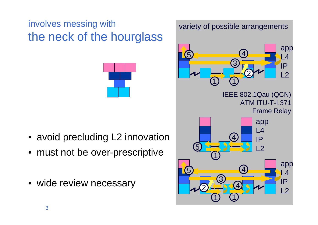## involves messing with variety of possible arrangements the neck of the hourglass



- avoid precluding L2 innovation
- must not be over-prescriptive
- wide review necessary

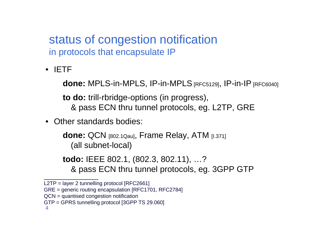status of congestion notificationin protocols that encapsulate IP

• IETF

**done:** MPLS-in-MPLS, IP-in-MPLS [RFC5129], IP-in-IP [RFC6040]

**to do:** trill-rbridge-options (in progress),

- & pass ECN thru tunnel protocols, eg. L2TP, GRE
- Other standards bodies:

**done:** QCN [802.1Qau], Frame Relay, ATM [I.371] (all subnet-local)

**todo:** IEEE 802.1, (802.3, 802.11), …?& pass ECN thru tunnel protocols, eg. 3GPP GTP

L2TP = layer 2 tunnelling protocol [RFC2661]

GRE = generic routing encapsulation [RFC1701, RFC2784]

QCN = quantised congestion notification

GTP = GPRS tunnelling protocol [3GPP TS 29.060]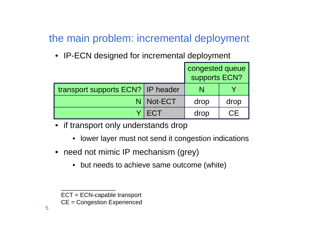#### the main problem: incremental deployment

• IP-ECN designed for incremental deployment

|                                     |         | congested queue<br>supports ECN? |      |
|-------------------------------------|---------|----------------------------------|------|
| transport supports ECN?   IP header |         |                                  |      |
|                                     | Not-ECT | drop                             | drop |
|                                     | ECT     | drop                             | CE.  |

- if transport only understands drop
	- lower layer must not send it congestion indications
- need not mimic IP mechanism (grey)
	- but needs to achieve same outcome (white)

ECT = ECN-capable transport

CE = Congestion Experienced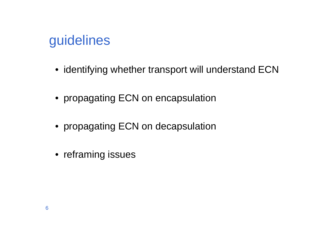## guidelines

- identifying whether transport will understand ECN
- propagating ECN on encapsulation
- propagating ECN on decapsulation
- reframing issues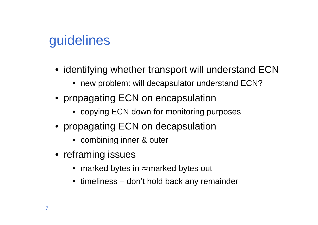# guidelines

- identifying whether transport will understand ECN
	- new problem: will decapsulator understand ECN?
- propagating ECN on encapsulation
	- copying ECN down for monitoring purposes
- propagating ECN on decapsulation
	- combining inner & outer
- reframing issues
	- marked bytes in  $\approx$  marked bytes out
	- timeliness don't hold back any remainder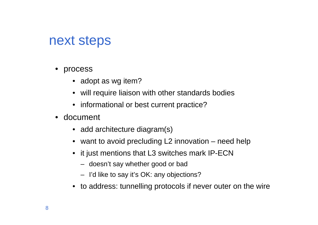## next steps

- process
	- adopt as wg item?
	- will require liaison with other standards bodies
	- informational or best current practice?
- document
	- add architecture diagram(s)
	- want to avoid precluding L2 innovation need help
	- it just mentions that L3 switches mark IP-ECN
		- doesn't say whether good or bad
		- I'd like to say it's OK: any objections?
	- to address: tunnelling protocols if never outer on the wire